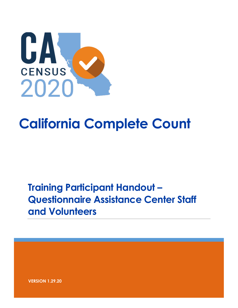

# **California Complete Count**

# **Training Participant Handout – Questionnaire Assistance Center Staff and Volunteers**

**VERSION 1.29.20**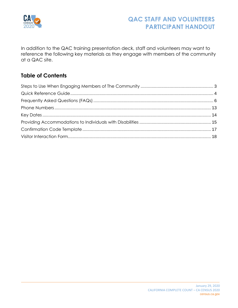

In addition to the QAC training presentation deck, staff and volunteers may want to reference the following key materials as they engage with members of the community at a QAC site.

#### **Table of Contents**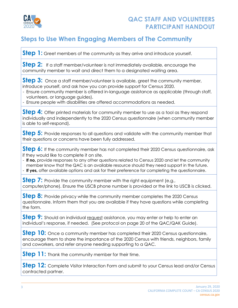

#### <span id="page-2-0"></span>**Steps to Use When Engaging Members of The Community**

**Step 1:** Greet members of the community as they arrive and introduce yourself.

**Step 2:** If a staff member/volunteer is not immediately available, encourage the community member to wait and direct them to a designated waiting area.

**Step 3:** Once a staff member/volunteer is available, greet the community member, introduce yourself, and ask how you can provide support for Census 2020.

- Ensure community member is offered in-language assistance as applicable (through staff, volunteers, or language guides).
- Ensure people with disabilities are offered accommodations as needed.

**Step 4:** Offer printed materials for community member to use as a tool as they respond individually and independently to the 2020 Census questionnaire (when community member is able to self-respond).

**Step 5:** Provide responses to all questions and validate with the community member that their questions or concerns have been fully addressed.

Step 6: If the community member has not completed their 2020 Census questionnaire, ask if they would like to complete it on site.

- **If no,** provide responses to any other questions related to Census 2020 and let the community member know that the QAC is an available resource should they need support in the future. - **If yes,** offer available options and ask for their preference for completing the questionnaire.

**Step 7:** Provide the community member with the right equipment (e.g., computer/phone). Ensure the USCB phone number is provided or the link to USCB is clicked.

**Step 8:** Provide privacy while the community member completes the 2020 Census questionnaire. Inform them that you are available if they have questions while completing the form.

**Step 9:** Should an individual request assistance, you may enter or help to enter an individual's response, if needed. (See protocol on page 20 of the QAC/QAK Guide).

**Step 10:** Once a community member has completed their 2020 Census questionnaire, encourage them to share the importance of the 2020 Census with friends, neighbors, family and coworkers, and refer anyone needing supporting to a QAC.

**Step 11:** Thank the community member for their time.

**Step 12:** Complete Visitor Interaction Form and submit to your Census lead and/or Census contracted partner.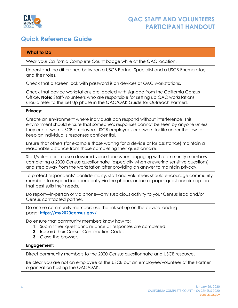

#### <span id="page-3-0"></span>**Quick Reference Guide**

| <b>What to Do</b>                                                                                                                                                                                                                                                                                          |
|------------------------------------------------------------------------------------------------------------------------------------------------------------------------------------------------------------------------------------------------------------------------------------------------------------|
| Wear your California Complete Count badge while at the QAC location.                                                                                                                                                                                                                                       |
| Understand the difference between a USCB Partner Specialist and a USCB Enumerator,<br>and their roles.                                                                                                                                                                                                     |
| Check that a screen lock with password is on devices at QAC workstations.                                                                                                                                                                                                                                  |
| Check that device workstations are labeled with signage from the California Census<br>Office. Note: Staff/volunteers who are responsible for setting up QAC workstations<br>should refer to the Set Up phase in the QAC/QAK Guide for Outreach Partners.                                                   |
| Privacy:                                                                                                                                                                                                                                                                                                   |
| Create an environment where individuals can respond without interference. This<br>environment should ensure that someone's responses cannot be seen by anyone unless<br>they are a sworn USCB employee. USCB employees are sworn for life under the law to<br>keep an individual's responses confidential. |
| Ensure that others (for example those waiting for a device or for assistance) maintain a<br>reasonable distance from those completing their questionnaire.                                                                                                                                                 |
| Staff/volunteers to use a lowered voice tone when engaging with community members<br>completing a 2020 Census questionnaire (especially when answering sensitive questions)<br>and step away from the workstation after providing an answer to maintain privacy.                                           |
| To protect respondents' confidentiality, staff and volunteers should encourage community<br>members to respond independently via the phone, online or paper questionnaire option<br>that best suits their needs.                                                                                           |
| Do report—in-person or via phone—any suspicious activity to your Census lead and/or<br>Census contracted partner.                                                                                                                                                                                          |
| Do ensure community members use the link set up on the device landing<br>page: https://my2020census.gov/                                                                                                                                                                                                   |
| Do ensure that community members know how to:<br>Submit their questionnaire once all responses are completed.<br>Record their Census Confirmation Code.<br>2.<br>Close the browser.<br>3.                                                                                                                  |
| Engagement:                                                                                                                                                                                                                                                                                                |
| Direct community members to the 2020 Census questionnaire and USCB resource.                                                                                                                                                                                                                               |
| Be clear you are not an employee of the USCB but an employee/volunteer of the Partner<br>organization hosting the QAC/QAK.                                                                                                                                                                                 |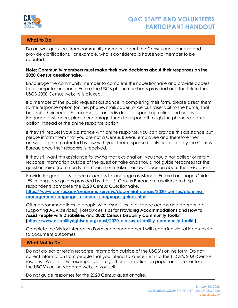

#### **What to Do**

Do answer questions from community members about the Census questionnaire and provide clarifications. For example, who is considered a household member to be counted.

#### **Note: Community members must make their own decisions about their responses on the 2020 Census questionnaire.**

Encourage the community member to complete their questionnaire and provide access to a computer or phone. Ensure the USCB phone number is provided and the link to the USCB 2020 Census website is clicked.

If a member of the public requests assistance in completing their form, please direct them to the response option (online, phone, mail/paper, or census taker visit to the home) that best suits their needs. For example, if an individual is responding online and needs language assistance, please encourage them to respond through the phone response option, instead of the online response option.

If they still request your assistance with online response, you can provide this assistance but please inform them that you are not a Census Bureau employee and therefore their answers are not protected by law with you. Their response is only protected by the Census Bureau once their response is received.

If they still want this assistance following that explanation, you should not collect or retain response information outside of the questionnaire and should not guide responses for the questionnaire, (community members must make their own decision about their response).

Provide language assistance or access to language assistance. Ensure Language Guides (59 in-language guides provided by the U.S. Census Bureau are available to help respondents complete the 2020 Census Questionnaire.

**[https://www.census.gov/programs-surveys/decennial-census/2020-census/planning](https://www.census.gov/programs-surveys/decennial-census/2020-census/planning-management/language-resources/language-guides.html)[management/language-resources/language-guides.html](https://www.census.gov/programs-surveys/decennial-census/2020-census/planning-management/language-resources/language-guides.html)**

Offer accommodations to people with disabilities (e.g. space access and appropriate supporting ADA devices). [Resources**: Tips for Providing Accommodations and How to Assist People with Disabilities** and **2020 Census Disability Community Toolkit [\[https://www.disabilityrightsca.org/post/2020-census-disability-community-toolkit\]](https://www.disabilityrightsca.org/post/2020-census-disability-community-toolkit)**

Complete the Visitor Interaction Form once engagement with each individual is complete to document outcomes.

#### **What Not to Do**

Do not collect or retain response information outside of the USCB's online form. Do not collect information from people that you intend to later enter into the USCB's 2020 Census response Web site. For example, do not gather information on paper and later enter it in the USCB's online response website yourself.

Do not guide responses for the 2020 Census questionnaire.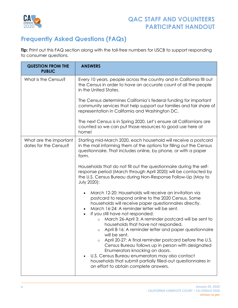

# <span id="page-5-0"></span>**Frequently Asked Questions (FAQs)**

**Tip:** Print out this FAQ section along with the toll-free numbers for USCB to support responding to consumer questions.

| <b>QUESTION FROM THE</b><br><b>PUBLIC</b>       | <b>ANSWERS</b>                                                                                                                                                                                                                                                           |  |
|-------------------------------------------------|--------------------------------------------------------------------------------------------------------------------------------------------------------------------------------------------------------------------------------------------------------------------------|--|
| What is the Census?                             | Every 10 years, people across the country and in California fill out<br>the Census in order to have an accurate count of all the people<br>in the United States.                                                                                                         |  |
|                                                 | The Census determines California's federal funding for important<br>community services that help support our families and fair share of<br>representation in California and Washington DC.                                                                               |  |
|                                                 | The next Census is in Spring 2020. Let's ensure all Californians are<br>counted so we can put those resources to good use here at<br>home!                                                                                                                               |  |
| What are the important<br>dates for the Census? | Starting mid-March 2020, each household will receive a postcard<br>in the mail informing them of the options for filling out the Census<br>questionnaire. That includes online, by phone, or with a paper<br>form.                                                       |  |
|                                                 | Households that do not fill out the questionnaire during the self-<br>response period (March through April 2020) will be contacted by<br>the U.S. Census Bureau during Non-Response Follow-Up (May to<br><b>July 2020):</b>                                              |  |
|                                                 | March 12-20: Households will receive an invitation via<br>postcard to respond online to the 2020 Census. Some<br>households will receive paper questionnaires directly.<br>March 16-24: A reminder letter will be sent.<br>If you still have not responded:<br>$\bullet$ |  |
|                                                 | March 26-April 3: A reminder postcard will be sent to<br>$\circ$<br>households that have not responded.<br>April 8-16: A reminder letter and paper questionnaire<br>$\circ$<br>will be sent.<br>April 20-27: A final reminder postcard before the U.S.<br>$\circ$        |  |
|                                                 | Census Bureau follows up in person with designated<br>Enumerators knocking on doors.<br>U.S. Census Bureau enumerators may also contact<br>households that submit partially filled-out questionnaires in<br>an effort to obtain complete answers.                        |  |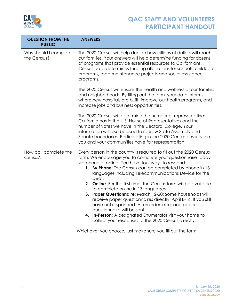

| <b>QUESTION FROM THE</b><br><b>PUBLIC</b> | <b>ANSWERS</b>                                                                                                                                                                                                                                                                                                                                                                                                                                                                                                                                                                                                                                                                                                                                                         |  |
|-------------------------------------------|------------------------------------------------------------------------------------------------------------------------------------------------------------------------------------------------------------------------------------------------------------------------------------------------------------------------------------------------------------------------------------------------------------------------------------------------------------------------------------------------------------------------------------------------------------------------------------------------------------------------------------------------------------------------------------------------------------------------------------------------------------------------|--|
| Why should I complete<br>the Census?      | The 2020 Census will help decide how billions of dollars will reach<br>our families. Your answers will help determine funding for dozens<br>of programs that provide essential resources to Californians.<br>Census data determines funding allocations for schools, childcare<br>programs, road maintenance projects and social assistance<br>programs.                                                                                                                                                                                                                                                                                                                                                                                                               |  |
|                                           | The 2020 Census will ensure the health and wellness of our families<br>and neighborhoods. By filling out the form, your data informs<br>where new hospitals are built, improve our health programs, and<br>increase jobs and business opportunities.                                                                                                                                                                                                                                                                                                                                                                                                                                                                                                                   |  |
|                                           | The 2020 Census will determine the number of representatives<br>California has in the U.S. House of Representatives and the<br>number of votes we have in the Electoral College. Your<br>information will also be used to redraw State Assembly and<br>Senate boundaries. Participating in the 2020 Census ensures that<br>you and your communities have fair representation.                                                                                                                                                                                                                                                                                                                                                                                          |  |
| How do I complete the<br>Census?          | Every person in the country is required to fill out the 2020 Census<br>form. We encourage you to complete your questionnaire today<br>via phone or online. You have four ways to respond:<br>1. By Phone: The Census can be completed by phone in 13<br>languages including Telecommunications Device for the<br>Deaf.<br>2. Online: For the first time, the Census form will be available<br>to complete online in 13 languages.<br>3. Paper Questionnaire: March 12-20: Some households will<br>receive paper questionnaires directly. April 8-16: If you still<br>have not responded: A reminder letter and paper<br>questionnaire will be sent.<br>4. In-Person: A designated Enumerator visit your home to<br>collect your responses to the 2020 Census directly. |  |
|                                           | Whichever you choose, just make sure you fill out the form!                                                                                                                                                                                                                                                                                                                                                                                                                                                                                                                                                                                                                                                                                                            |  |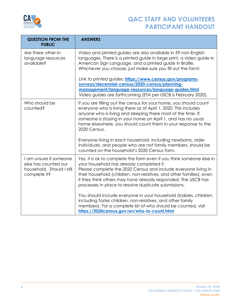

| <b>QUESTION FROM THE</b><br><b>PUBLIC</b>                                                   | <b>ANSWERS</b>                                                                                                                                                                                                                                                                                                                                                                     |  |
|---------------------------------------------------------------------------------------------|------------------------------------------------------------------------------------------------------------------------------------------------------------------------------------------------------------------------------------------------------------------------------------------------------------------------------------------------------------------------------------|--|
| Are there other in-<br>language resources<br>available?                                     | Video and printed guides are also available in 59 non-English<br>languages. There is a printed guide in large print, a video guide in<br>American Sign Language, and a printed guide in Braille.<br>Whichever you choose, just make sure you fill out the form!                                                                                                                    |  |
|                                                                                             | Link to printed guides: https://www.census.gov/programs-<br>surveys/decennial-census/2020-census/planning-<br>management/language-resources/language-guides.html<br>Video guides are forthcoming (ETA per USCB is February 2020).                                                                                                                                                  |  |
| Who should be<br>counted?                                                                   | If you are filling out the census for your home, you should count<br>everyone who is living there as of April 1, 2020. This includes<br>anyone who is living and sleeping there most of the time. If<br>someone is staying in your home on April 1, and has no usual<br>home elsewhere, you should count them in your response to the<br>2020 Census.                              |  |
|                                                                                             | Everyone living in each household, including newborns, older<br>individuals, and people who are not family members, should be<br>counted on the household's 2020 Census form.                                                                                                                                                                                                      |  |
| I am unsure if someone<br>else has counted our<br>household. Should I still<br>complete it? | Yes, it is ok to complete the form even if you think someone else in<br>your household has already completed it.<br>Please complete the 2020 Census and include everyone living in<br>their household (children, non-relatives, and other families), even<br>if they think others may have already responded. The USCB has<br>processes in place to resolve duplicate submissions. |  |
|                                                                                             | You should include everyone in your household (babies, children,<br>including foster children, non-relatives, and other family<br>members). For a complete list of who should be counted, visit<br>https://2020census.gov/en/who-to-count.html                                                                                                                                     |  |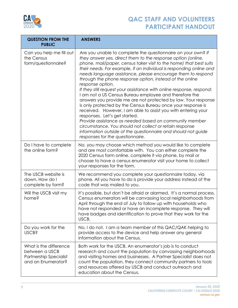

| <b>QUESTION FROM THE</b><br><b>PUBLIC</b>                                                       | <b>ANSWERS</b>                                                                                                                                                                                                                                                                                                                                                                                                                                                                                                                                                                                                                                                                                                                                                                                                                                                                                                                                                                                                           |  |
|-------------------------------------------------------------------------------------------------|--------------------------------------------------------------------------------------------------------------------------------------------------------------------------------------------------------------------------------------------------------------------------------------------------------------------------------------------------------------------------------------------------------------------------------------------------------------------------------------------------------------------------------------------------------------------------------------------------------------------------------------------------------------------------------------------------------------------------------------------------------------------------------------------------------------------------------------------------------------------------------------------------------------------------------------------------------------------------------------------------------------------------|--|
| Can you help me fill out<br>the Census<br>form/questionnaire?                                   | Are you unable to complete the questionnaire on your own? If<br>they answer yes, direct them to the response option (online,<br>phone, mail/paper, census taker visit to the home) that best suits<br>their needs. For example, if an individual is responding online and<br>needs language assistance, please encourage them to respond<br>through the phone response option, instead of the online<br>response option.<br>If they still request your assistance with online response, respond:<br>I am not a US Census Bureau employee and therefore the<br>answers you provide me are not protected by law. Your response<br>is only protected by the Census Bureau once your response is<br>received. However, I am able to assist you with entering your<br>responses. Let's get started.<br>Provide assistance as needed based on community member<br>circumstance. You should not collect or retain response<br>information outside of the questionnaire and should not guide<br>responses for the questionnaire. |  |
| Do I have to complete<br>the online form?                                                       | No, you may choose which method you would like to complete<br>and are most comfortable with. You can either complete the<br>2020 Census form online, complete it via phone, by mail or<br>choose to have a census enumerator visit your home to collect<br>your responses for the form.                                                                                                                                                                                                                                                                                                                                                                                                                                                                                                                                                                                                                                                                                                                                  |  |
| The USCB website is<br>down. How do I<br>complete by form?                                      | We recommend you complete your questionnaire today, via<br>phone. All you have to do is provide your address instead of the<br>code that was mailed to you.                                                                                                                                                                                                                                                                                                                                                                                                                                                                                                                                                                                                                                                                                                                                                                                                                                                              |  |
| Will the USCB visit my<br>home?                                                                 | It's possible, but don't be afraid or alarmed. It's a normal process.<br>Census enumerators will be canvassing local neighborhoods from<br>April through the end of July to follow up with households who<br>have not responded or have an incomplete response. They will<br>have badges and identification to prove that they work for the<br>USCB.                                                                                                                                                                                                                                                                                                                                                                                                                                                                                                                                                                                                                                                                     |  |
| Do you work for the<br><b>USCB?</b>                                                             | No, I do not. I am a team member of this QAC/QAK helping to<br>provide access to the device and help answer any general<br>information about the Census.                                                                                                                                                                                                                                                                                                                                                                                                                                                                                                                                                                                                                                                                                                                                                                                                                                                                 |  |
| What is the difference<br>between a USCB<br><b>Partnership Specialist</b><br>and an Enumerator? | Both work for the USCB. An enumerator's job is to conduct<br>research and count the population by canvassing neighborhoods<br>and visiting homes and businesses. A Partner Specialist does not<br>count the population, they connect community partners to tools<br>and resources offered by USCB and conduct outreach and<br>education about the Census.                                                                                                                                                                                                                                                                                                                                                                                                                                                                                                                                                                                                                                                                |  |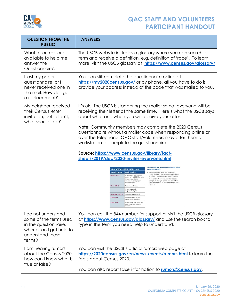

| <b>QUESTION FROM THE</b><br><b>PUBLIC</b>                                                                                       | <b>ANSWERS</b>                                                                                                                                                                                                                                                                                                                                                                                                                                                                                                                                                                                                                                                                                                                                                                                                                                                                                                                                           |  |
|---------------------------------------------------------------------------------------------------------------------------------|----------------------------------------------------------------------------------------------------------------------------------------------------------------------------------------------------------------------------------------------------------------------------------------------------------------------------------------------------------------------------------------------------------------------------------------------------------------------------------------------------------------------------------------------------------------------------------------------------------------------------------------------------------------------------------------------------------------------------------------------------------------------------------------------------------------------------------------------------------------------------------------------------------------------------------------------------------|--|
| What resources are<br>available to help me<br>answer the<br>Questionnaire?                                                      | The USCB website includes a glossary where you can search a<br>term and receive a definition, e.g. definition of 'race'. To learn<br>more, visit the USCB glossary at https://www.census.gov/glossary/                                                                                                                                                                                                                                                                                                                                                                                                                                                                                                                                                                                                                                                                                                                                                   |  |
| I lost my paper<br>questionnaire, or I<br>never received one in<br>the mail. How do I get<br>a replacement?                     | You can still complete the questionnaire online at<br>https://my2020census.gov/ or by phone, all you have to do is<br>provide your address instead of the code that was mailed to you.                                                                                                                                                                                                                                                                                                                                                                                                                                                                                                                                                                                                                                                                                                                                                                   |  |
| My neighbor received<br>their Census letter<br>invitation, but I didn't,<br>what should I do?                                   | It's ok. The USCB is staggering the mailer so not everyone will be<br>receiving their letter at the same time. Here's what the USCB says<br>about what and when you will receive your letter.                                                                                                                                                                                                                                                                                                                                                                                                                                                                                                                                                                                                                                                                                                                                                            |  |
|                                                                                                                                 | Note: Community members may complete the 2020 Census<br>questionnaire without a mailer code when responding online or<br>over the telephone. QAC staff/volunteers may offer them a<br>workstation to complete the questionnaire.<br>Source: https://www.census.gov/library/fact-<br>sheets/2019/dec/2020-invites-everyone.html<br>We understand you might miss our initial<br>WHAT WE WILL SEND IN THE MAIL<br>letter in the mail.<br>On or between<br>You'll receive:<br>- Every household that hasn't already<br>responded will receive reminders and will<br>March 12-20<br>An invitation to respond<br>eventually receive a paper questionnaire.<br>online to the 2020 Census.<br>· It doesn't matter which initial invitation<br>(Some households<br>will also receive paper<br>you get or how you get it-we will follow<br>questionnaires.)<br>up in person with all households that don't<br>respond.<br><b>March 16-24</b><br>A reminder letter. |  |
|                                                                                                                                 | If you haven't<br>responded vet:<br>March 26-April 3<br>A reminder postcard<br>April 8-16<br>A reminder letter and<br>paper questionnaire.<br>April 20-27<br>A final reminder postcard<br>before we follow up in<br>person                                                                                                                                                                                                                                                                                                                                                                                                                                                                                                                                                                                                                                                                                                                               |  |
| I do not understand<br>some of the terms used<br>in the questionnaire,<br>where can I get help to<br>understand these<br>terms? | You can call the 844 number for support or visit the USCB glossary<br>at https://www.census.gov/glossary/ and use the search box to<br>type in the term you need help to understand.                                                                                                                                                                                                                                                                                                                                                                                                                                                                                                                                                                                                                                                                                                                                                                     |  |
| I am hearing rumors<br>about the Census 2020;<br>how can I know what is<br>true or false?                                       | You can visit the USCB's official rumors web page at<br>https://2020census.gov/en/news-events/rumors.html to learn the<br>facts about Census 2020.                                                                                                                                                                                                                                                                                                                                                                                                                                                                                                                                                                                                                                                                                                                                                                                                       |  |
|                                                                                                                                 | You can also report false information to <b>rumors@census.gov</b> .                                                                                                                                                                                                                                                                                                                                                                                                                                                                                                                                                                                                                                                                                                                                                                                                                                                                                      |  |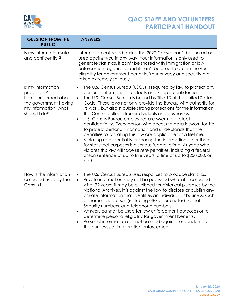

| <b>QUESTION FROM THE</b><br><b>PUBLIC</b>                                                                                | <b>ANSWERS</b>                                                                                                                                                                                                                                                                                                                                                                                                                                                                                                                                                                                                                                                                                                                                                                                                                                                                                                                                                                                               |  |
|--------------------------------------------------------------------------------------------------------------------------|--------------------------------------------------------------------------------------------------------------------------------------------------------------------------------------------------------------------------------------------------------------------------------------------------------------------------------------------------------------------------------------------------------------------------------------------------------------------------------------------------------------------------------------------------------------------------------------------------------------------------------------------------------------------------------------------------------------------------------------------------------------------------------------------------------------------------------------------------------------------------------------------------------------------------------------------------------------------------------------------------------------|--|
| Is my information safe<br>and confidential?                                                                              | Information collected during the 2020 Census can't be shared or<br>used against you in any way. Your information is only used to<br>generate statistics, it can't be shared with immigration or law<br>enforcement agencies, and it can't be used to determine your<br>eligibility for government benefits. Your privacy and security are<br>taken extremely seriously.                                                                                                                                                                                                                                                                                                                                                                                                                                                                                                                                                                                                                                      |  |
| Is my information<br>protected?<br>I am concerned about<br>the government having<br>my information, what<br>should I do? | The U.S. Census Bureau (USCB) is required by law to protect any<br>$\bullet$<br>personal information it collects and keep it confidential.<br>The U.S. Census Bureau is bound by Title 13 of the United States<br>$\bullet$<br>Code. These laws not only provide the Bureau with authority for<br>its work, but also stipulate strong protections for the information<br>the Census collects from individuals and businesses.<br>U.S. Census Bureau employees are sworn to protect<br>$\bullet$<br>confidentiality. Every person with access to data is sworn for life<br>to protect personal information and understands that the<br>penalties for violating this law are applicable for a lifetime.<br>Violating confidentiality or sharing the information other than<br>$\bullet$<br>for statistical purposes is a serious federal crime. Anyone who<br>violates this law will face severe penalties, including a federal<br>prison sentence of up to five years, a fine of up to \$250,000, or<br>both. |  |
| How is the information<br>collected used by the<br>Census?                                                               | The U.S. Census Bureau uses responses to produce statistics.<br>$\bullet$<br>Private information may not be published when it is collected.<br>$\bullet$<br>After 72 years, it may be published for historical purposes by the<br>National Archives. It is against the law to disclose or publish any<br>private information that identifies an individual or business, such<br>as names, addresses (including GPS coordinates), Social<br>Security numbers, and telephone numbers.<br>Answers cannot be used for law enforcement purposes or to<br>$\bullet$<br>determine personal eligibility for government benefits.<br>Personal information cannot be used against respondents for<br>$\bullet$<br>the purposes of immigration enforcement.                                                                                                                                                                                                                                                             |  |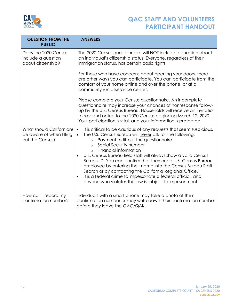

| <b>QUESTION FROM THE</b><br><b>PUBLIC</b>                                                                                                                                                                                                                                                                                                                                                                                                                                                                                                                                                                                                                                                                                                                                | <b>ANSWERS</b>                                                                                                                                                                                                                                                                                                                         |
|--------------------------------------------------------------------------------------------------------------------------------------------------------------------------------------------------------------------------------------------------------------------------------------------------------------------------------------------------------------------------------------------------------------------------------------------------------------------------------------------------------------------------------------------------------------------------------------------------------------------------------------------------------------------------------------------------------------------------------------------------------------------------|----------------------------------------------------------------------------------------------------------------------------------------------------------------------------------------------------------------------------------------------------------------------------------------------------------------------------------------|
| Does the 2020 Census<br>include a question<br>about citizenship?                                                                                                                                                                                                                                                                                                                                                                                                                                                                                                                                                                                                                                                                                                         | The 2020 Census questionnaire will NOT include a question about<br>an individual's citizenship status. Everyone, regardless of their<br>immigration status, has certain basic rights.                                                                                                                                                  |
|                                                                                                                                                                                                                                                                                                                                                                                                                                                                                                                                                                                                                                                                                                                                                                          | For those who have concerns about opening your doors, there<br>are other ways you can participate. You can participate from the<br>comfort of your home online and over the phone, or at a<br>community run assistance center.                                                                                                         |
|                                                                                                                                                                                                                                                                                                                                                                                                                                                                                                                                                                                                                                                                                                                                                                          | Please complete your Census questionnaire. An incomplete<br>questionnaire may increase your chances of nonresponse follow-<br>up by the U.S. Census Bureau. Households will receive an invitation<br>to respond online to the 2020 Census beginning March 12, 2020.<br>Your participation is vital, and your information is protected. |
| What should Californians<br>It is critical to be cautious of any requests that seem suspicious.<br>$\bullet$<br>be aware of when filling<br>The U.S. Census Bureau will never ask for the following:<br>out the Census?<br>Payment to fill out the questionnaire<br>$\circ$<br>Social Security number<br>$\circ$<br>Financial information<br>$\circ$<br>U.S. Census Bureau field staff will always show a valid Census<br>$\bullet$<br>Bureau ID. You can confirm that they are a U.S. Census Bureau<br>employee by entering their name into the Census Bureau Staff<br>Search or by contacting the California Regional Office.<br>It is a federal crime to impersonate a federal official, and<br>$\bullet$<br>anyone who violates this law is subject to imprisonment. |                                                                                                                                                                                                                                                                                                                                        |
| How can I record my<br>confirmation number?                                                                                                                                                                                                                                                                                                                                                                                                                                                                                                                                                                                                                                                                                                                              | Individuals with a smart phone may take a photo of their<br>confirmation number or may write down their confirmation number<br>before they leave the QAC/QAK.                                                                                                                                                                          |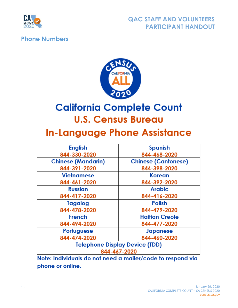

#### <span id="page-12-0"></span>**Phone Numbers**



# **California Complete Count U.S. Census Bureau**

# **In-Language Phone Assistance**

| <b>English</b><br><b>Spanish</b>      |                            |  |
|---------------------------------------|----------------------------|--|
| 844-330-2020                          | 844-468-2020               |  |
| <b>Chinese (Mandarin)</b>             | <b>Chinese (Cantonese)</b> |  |
| 844-391-2020                          | 844-398-2020               |  |
| <b>Vietnamese</b>                     | Korean                     |  |
| 844-461-2020                          | 844-392-2020               |  |
| <b>Russian</b>                        | <b>Arabic</b>              |  |
| 844-417-2020                          | 844-416-2020               |  |
| Tagalog                               | <b>Polish</b>              |  |
| 844-478-2020                          | 844-479-2020               |  |
| <b>French</b>                         | <b>Haitian Creole</b>      |  |
| 844-494-2020                          | 844-477-2020               |  |
| Portuguese                            | <b>Japanese</b>            |  |
| 844-474-2020                          | 844-460-2020               |  |
| <b>Telephone Display Device (TDD)</b> |                            |  |
| 844-467-2020                          |                            |  |

Note: Individuals do not need a mailer/code to respond via phone or online.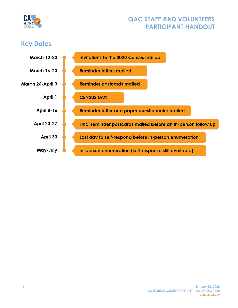

# <span id="page-13-0"></span>**Key Dates**

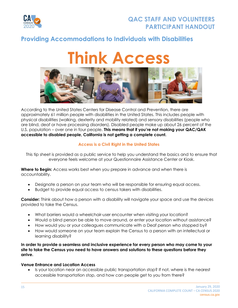

#### <span id="page-14-0"></span>**Providing Accommodations to Individuals with Disabilities**

# **Think Access**



According to the United States Centers for Disease Control and Prevention, there are approximately 61 million people with disabilities in the United States. This includes people with physical disabilities (walking, dexterity and mobility related) and sensory disabilities (people who are blind, deaf or have processing disorders). Disabled people make up about 26 percent of the U.S. population – over one in four people. **This means that if you're not making your QAC/QAK accessible to disabled people, California is not getting a complete count.**

#### **Access is a Civil Right in the United States**

This tip sheet is provided as a public service to help you understand the basics and to ensure that everyone feels welcome at your Questionnaire Assistance Center or Kiosk.

**Where to Begin:** Access works best when you prepare in advance and when there is accountability.

- Designate a person on your team who will be responsible for ensuring equal access.
- Budget to provide equal access to census takers with disabilities.

**Consider:** Think about how a person with a disability will navigate your space and use the devices provided to take the Census.

- What barriers would a wheelchair-user encounter when visiting your location?
- Would a blind person be able to move around, or enter your location without assistance?
- How would you or your colleagues communicate with a Deaf person who stopped by?
- How would someone on your team explain the Census to a person with an intellectual or learning disability?

**In order to provide a seamless and inclusive experience for every person who may come to your site to take the Census you need to have answers and solutions to these questions before they arrive.**

#### **Venue Entrance and Location Access**

• Is your location near an accessible public transportation stop? If not, where is the nearest accessible transportation stop, and how can people get to you from there?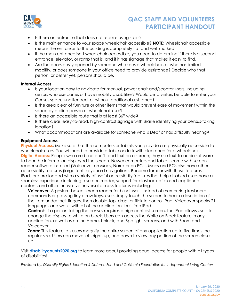

- Is there an entrance that does not require using stairs?
- Is the main entrance to your space wheelchair accessible? **NOTE**: Wheelchair accessible means the entrance to the building is completely flat and well-marked.
- If the main entrance isn't wheelchair accessible, you need to determine if there is a second entrance, elevator, or ramp that is, and if it has signage that makes it easy to find.
- Are the doors easily opened by someone who uses a wheelchair, or who has limited mobility, or does someone in your office need to provide assistance? Decide who that person, or better yet, persons should be.

#### **Internal Access**

- Is your location easy to navigate for manual, power chair and/scooter users, including seniors who use canes or have mobility disabilities? Would blind visitors be able to enter your Census space unattended, or without additional assistance?
- Is the area clear of furniture or other items that would prevent ease of movement within the space by a blind person or wheelchair user?
- Is there an accessible route that is at least 36" wide?
- Is there clear, easy-to-read, high-contrast signage with Braille identifying your census-taking location?
- What accommodations are available for someone who is Deaf or has difficulty hearing?

#### **Equipment Access**

**Physical Access:** Make sure that the computers or tablets you provide are physically accessible to wheelchair users. You will need to provide a table or desk with clearance for a wheelchair. **Digital Access:** People who are blind don't read text on a screen; they use text-to-audio software to hear the information displayed the screen. Newer computers and tablets come with screenreader software installed (Voiceover on Macs, Narrator on PCs). Macs and PCs also have other accessibility features (large font, keyboard navigation). Become familiar with those features. iPads are pre-loaded with a variety of useful accessibility features that help disabled users have a seamless experience including a screen reader, support for playback of closed-captioned content, and other innovative universal access features including:

**Voiceover:** A gesture-based screen reader for blind users. Instead of memorizing keyboard commands or pressing tiny arrow keys, users simply touch the screen to hear a description of the item under their fingers, then double-tap, drag, or flick to control iPad. Voiceover speaks 21 languages and works with all of the applications built into iPad.

**Contrast:** If a person taking the census requires a high contrast screen, the iPad allows users to change the display to white on black. Users can access the White on Black feature in any application, as well as on the Home, Unlock, and Spotlight screens, and with Zoom and Voiceover.

**Zoom:** This feature lets users magnify the entire screen of any application up to five times the regular size. Users can move left, right, up, and down to view any portion of the screen close up.

Visit **[disabilitycounts2020.org](http://www.disabilitycounts2020.org/)** to learn more about providing equal access for people with all types of disabilities!

*Provided by: Disability Rights Education & Defense Fund and California Foundation for Independent Living Centers*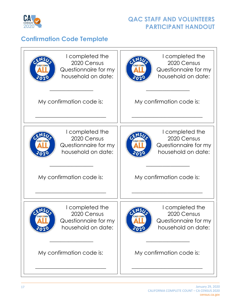

## <span id="page-16-0"></span>**Confirmation Code Template**